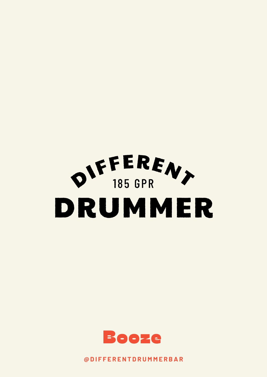



**@ D I F F E R E N T D R U M M E R B A R**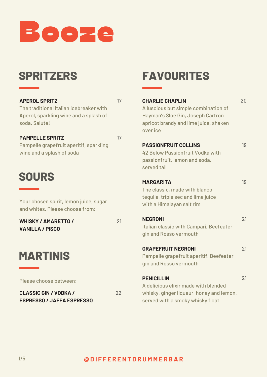

# **SPRITZERS**

#### **APEROL SPRITZ**

The traditional Italian icebreaker with Aperol, sparkling wine and a splash of soda. Salute!

#### **PAMPELLE SPRITZ**

17

17

Pampelle grapefruit aperitif, sparkling wine and a splash of soda

## **SOURS**

Your chosen spirit, lemon juice, sugar and whites. Please choose from:

**WHISKY / AMARETTO / VANILLA / PISCO**

## **MARTINIS**

Please choose between:

**CLASSIC GIN / VODKA / ESPRESSO / JAFFA ESPRESSO** 22

21

# **FAVOURITES**

| <b>CHARLIE CHAPLIN</b><br>A luscious but simple combination of<br>Hayman's Sloe Gin, Joseph Cartron<br>apricot brandy and lime juice, shaken<br>over ice | 20 |
|----------------------------------------------------------------------------------------------------------------------------------------------------------|----|
| <b>PASSIONFRUIT COLLINS</b>                                                                                                                              | 19 |
| 42 Below Passionfruit Vodka with                                                                                                                         |    |
| passionfruit, lemon and soda,                                                                                                                            |    |
| served tall                                                                                                                                              |    |
| <b>MARGARITA</b>                                                                                                                                         | 19 |
| The classic, made with blanco                                                                                                                            |    |
| tequila, triple sec and lime juice                                                                                                                       |    |
| with a Himalayan salt rim                                                                                                                                |    |
| <b>NEGRONI</b>                                                                                                                                           | 21 |
| Italian classic with Campari, Beefeater                                                                                                                  |    |
| gin and Rosso vermouth                                                                                                                                   |    |
| <b>GRAPEFRUIT NEGRONI</b>                                                                                                                                | 21 |
| Pampelle grapefruit aperitif, Beefeater                                                                                                                  |    |
| gin and Rosso vermouth                                                                                                                                   |    |
| <b>PENICILLIN</b>                                                                                                                                        | 21 |
| A delicious elixir made with blended                                                                                                                     |    |
| whisky, ginger liqueur, honey and lemon,                                                                                                                 |    |
|                                                                                                                                                          |    |

served with a smoky whisky float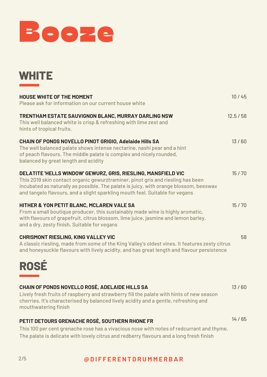

| <b>HOUSE WHITE OF THE MOMENT</b>                                                                                                                                                                                                                                                                                          | 10/45   |
|---------------------------------------------------------------------------------------------------------------------------------------------------------------------------------------------------------------------------------------------------------------------------------------------------------------------------|---------|
| Please ask for information on our current house white                                                                                                                                                                                                                                                                     |         |
| TRENTHAM ESTATE SAUVIGNON BLANC, MURRAY DARLING NSW<br>This well balanced white is crisp & refreshing with lime zest and<br>hints of tropical fruits.                                                                                                                                                                     | 12.5/58 |
| CHAIN OF PONDS NOVELLO PINOT GRIGIO, Adelaide Hills SA<br>The well balanced palate shows intense nectarine, nashi pear and a hint<br>of peach flavours. The middle palate is complex and nicely rounded,<br>balanced by great length and acidity                                                                          | 13/60   |
| DELATITE 'HELLS WINDOW' GEWURZ, GRIS, RIESLING, MANSFIELD VIC<br>This 2019 skin contact organic gewurztraminer, pinot gris and riesling has been<br>incubated as naturally as possible. The palate is juicy, with orange blossom, beeswax<br>and tangelo flavours, and a slight sparkling mouth feel. Suitable for vegans | 15/70   |
| HITHER & YON PETIT BLANC, MCLAREN VALE SA<br>From a small boutique producer, this sustainably made wine is highly aromatic,<br>with flavours of grapefruit, citrus blossom, lime juice, jasmine and lemon barley,<br>and a dry, zesty finish. Suitable for vegans                                                         | 15/70   |
| <b>CHRISMONT RIESLING, KING VALLEY VIC</b><br>A classic riesling, made from some of the King Valley's oldest vines. It features zesty citrus<br>and honeysuckle flavours with lively acidity, and has great length and flavour persistence                                                                                | 58      |
| <b>ROSÉ</b>                                                                                                                                                                                                                                                                                                               |         |
| CHAIN OF PONDS NOVELLO ROSE, ADELAIDE HILLS SA<br>Lively fresh fruits of raspberry and strawberry fill the palate with hints of new season<br>cherries. It's characterised by balanced lively acidity and a gentle, refreshing and<br>mouthwatering finish                                                                | 13/60   |

### **PETIT DETOURS GRENACHE ROSÈ, SOUTHERN RHONE FR**

This 100 per cent grenache rose has a vivacious nose with notes of redcurrant and thyme. The palate is delicate with lovely citrus and redberry flavours and a long fresh finish

### 2/5 **@ D I F F E R E N T D R U M M E R B A R**

14 / 65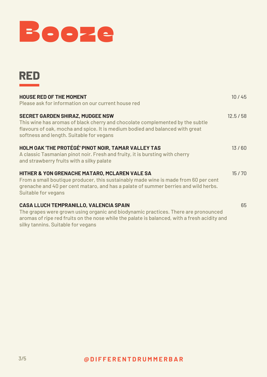



| <b>HOUSE RED OF THE MOMENT</b>                                                                                                                                                                                                                        | 10/45   |
|-------------------------------------------------------------------------------------------------------------------------------------------------------------------------------------------------------------------------------------------------------|---------|
| Please ask for information on our current house red                                                                                                                                                                                                   |         |
| <b>SECRET GARDEN SHIRAZ, MUDGEE NSW</b><br>This wine has aromas of black cherry and chocolate complemented by the subtle<br>flavours of oak, mocha and spice. It is medium bodied and balanced with great<br>softness and length. Suitable for vegans | 12.5/58 |
| HOLM OAK 'THE PROTÉGÉ' PINOT NOIR, TAMAR VALLEY TAS<br>A classic Tasmanian pinot noir. Fresh and fruity, it is bursting with cherry<br>and strawberry fruits with a silky palate                                                                      | 13/60   |
| HITHER & YON GRENACHE MATARO, MCLAREN VALE SA<br>From a small boutique producer, this sustainably made wine is made from 60 per cent<br>grenache and 40 per cent mataro, and has a palate of summer berries and wild herbs.<br>Suitable for vegans    | 15/70   |
| <b>CASA LLUCH TEMPRANILLO, VALENCIA SPAIN</b>                                                                                                                                                                                                         | 65      |

The grapes were grown using organic and biodynamic practices. There are pronounced aromas of ripe red fruits on the nose while the palate is balanced, with a fresh acidity and silky tannins. Suitable for vegans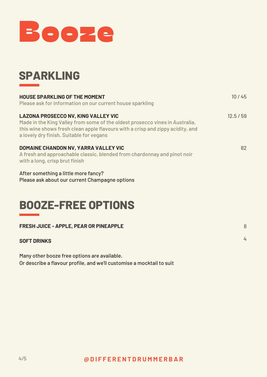

# **SPARKLING**

| <b>HOUSE SPARKLING OF THE MOMENT</b><br>Please ask for information on our current house sparkling                                                                                                                                                        | 10/45   |
|----------------------------------------------------------------------------------------------------------------------------------------------------------------------------------------------------------------------------------------------------------|---------|
| <b>LAZONA PROSECCO NV, KING VALLEY VIC</b><br>Made in the King Valley from some of the oldest prosecco vines in Australia,<br>this wine shows fresh clean apple flavours with a crisp and zippy acidity, and<br>a lovely dry finish. Suitable for vegans | 12.5/59 |
| DOMAINE CHANDON NV, YARRA VALLEY VIC<br>A fresh and approachable classic, blended from chardonnay and pinot noir<br>with a long, crisp brut finish                                                                                                       | 82      |
| After something a little more fancy?<br>Please ask about our current Champagne options                                                                                                                                                                   |         |

# **BOOZE-FREE OPTIONS**

| FRESH JUICE - APPLE, PEAR OR PINEAPPLE |  |
|----------------------------------------|--|
| <b>SOFT DRINKS</b>                     |  |

Many other booze free options are available. Or describe a flavour profile, and we'll customise a mocktail to suit